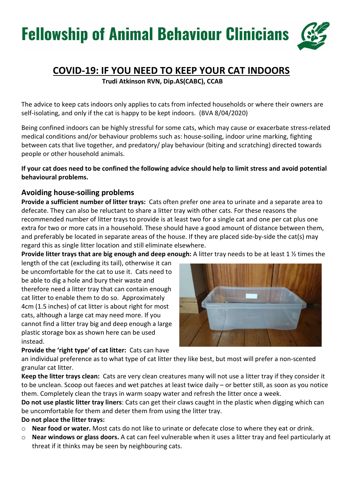### COVID-19: IF YOU NEED TO KEEP YOUR CAT INDOORS

Trudi Atkinson RVN, Dip.AS(CABC), CCAB

The advice to keep cats indoors only applies to cats from infected households or where their owners are self-isolating, and only if the cat is happy to be kept indoors. (BVA 8/04/2020)

Being confined indoors can be highly stressful for some cats, which may cause or exacerbate stress-related medical conditions and/or behaviour problems such as: house-soiling, indoor urine marking, fighting between cats that live together, and predatory/ play behaviour (biting and scratching) directed towards people or other household animals.

If your cat does need to be confined the following advice should help to limit stress and avoid potential behavioural problems.

### Avoiding house-soiling problems

Provide a sufficient number of litter trays: Cats often prefer one area to urinate and a separate area to defecate. They can also be reluctant to share a litter tray with other cats. For these reasons the recommended number of litter trays to provide is at least two for a single cat and one per cat plus one extra for two or more cats in a household. These should have a good amount of distance between them, and preferably be located in separate areas of the house. If they are placed side-by-side the cat(s) may regard this as single litter location and still eliminate elsewhere.

Provide litter trays that are big enough and deep enough: A litter tray needs to be at least 1 % times the

length of the cat (excluding its tail), otherwise it can be uncomfortable for the cat to use it. Cats need to be able to dig a hole and bury their waste and therefore need a litter tray that can contain enough cat litter to enable them to do so. Approximately 4cm (1.5 inches) of cat litter is about right for most cats, although a large cat may need more. If you cannot find a litter tray big and deep enough a large plastic storage box as shown here can be used instead.

#### Provide the 'right type' of cat litter: Cats can have



an individual preference as to what type of cat litter they like best, but most will prefer a non-scented granular cat litter.

Keep the litter trays clean: Cats are very clean creatures many will not use a litter tray if they consider it to be unclean. Scoop out faeces and wet patches at least twice daily – or better still, as soon as you notice them. Completely clean the trays in warm soapy water and refresh the litter once a week.

Do not use plastic litter tray liners: Cats can get their claws caught in the plastic when digging which can be uncomfortable for them and deter them from using the litter tray.

#### Do not place the litter trays:

- o Near food or water. Most cats do not like to urinate or defecate close to where they eat or drink.
- $\circ$  Near windows or glass doors. A cat can feel vulnerable when it uses a litter tray and feel particularly at threat if it thinks may be seen by neighbouring cats.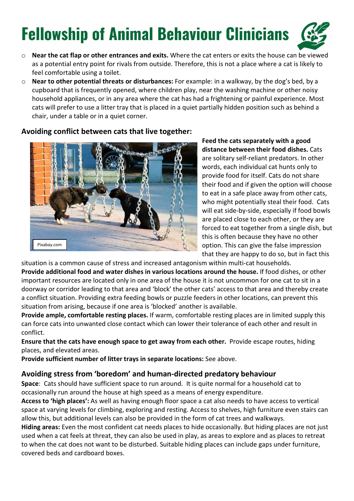- o Near the cat flap or other entrances and exits. Where the cat enters or exits the house can be viewed as a potential entry point for rivals from outside. Therefore, this is not a place where a cat is likely to feel comfortable using a toilet.
- $\circ$  Near to other potential threats or disturbances: For example: in a walkway, by the dog's bed, by a cupboard that is frequently opened, where children play, near the washing machine or other noisy household appliances, or in any area where the cat has had a frightening or painful experience. Most cats will prefer to use a litter tray that is placed in a quiet partially hidden position such as behind a chair, under a table or in a quiet corner.

#### Avoiding conflict between cats that live together:



Feed the cats separately with a good distance between their food dishes. Cats are solitary self-reliant predators. In other words, each individual cat hunts only to provide food for itself. Cats do not share their food and if given the option will choose to eat in a safe place away from other cats, who might potentially steal their food. Cats will eat side-by-side, especially if food bowls are placed close to each other, or they are forced to eat together from a single dish, but this is often because they have no other option. This can give the false impression that they are happy to do so, but in fact this

situation is a common cause of stress and increased antagonism within multi-cat households. Provide additional food and water dishes in various locations around the house. If food dishes, or other important resources are located only in one area of the house it is not uncommon for one cat to sit in a doorway or corridor leading to that area and 'block' the other cats' access to that area and thereby create a conflict situation. Providing extra feeding bowls or puzzle feeders in other locations, can prevent this situation from arising, because if one area is 'blocked' another is available.

Provide ample, comfortable resting places. If warm, comfortable resting places are in limited supply this can force cats into unwanted close contact which can lower their tolerance of each other and result in conflict.

Ensure that the cats have enough space to get away from each other. Provide escape routes, hiding places, and elevated areas.

Provide sufficient number of litter trays in separate locations: See above.

#### Avoiding stress from 'boredom' and human-directed predatory behaviour

Space: Cats should have sufficient space to run around. It is quite normal for a household cat to occasionally run around the house at high speed as a means of energy expenditure.

Access to 'high places': As well as having enough floor space a cat also needs to have access to vertical space at varying levels for climbing, exploring and resting. Access to shelves, high furniture even stairs can allow this, but additional levels can also be provided in the form of cat trees and walkways.

Hiding areas: Even the most confident cat needs places to hide occasionally. But hiding places are not just used when a cat feels at threat, they can also be used in play, as areas to explore and as places to retreat to when the cat does not want to be disturbed. Suitable hiding places can include gaps under furniture, covered beds and cardboard boxes.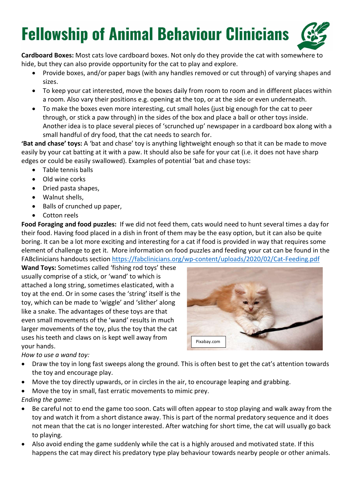Cardboard Boxes: Most cats love cardboard boxes. Not only do they provide the cat with somewhere to hide, but they can also provide opportunity for the cat to play and explore.

- Provide boxes, and/or paper bags (with any handles removed or cut through) of varying shapes and sizes.
- To keep your cat interested, move the boxes daily from room to room and in different places within a room. Also vary their positions e.g. opening at the top, or at the side or even underneath.
- To make the boxes even more interesting, cut small holes (just big enough for the cat to peer through, or stick a paw through) in the sides of the box and place a ball or other toys inside. Another idea is to place several pieces of 'scrunched up' newspaper in a cardboard box along with a small handful of dry food, that the cat needs to search for.

'Bat and chase' toys: A 'bat and chase' toy is anything lightweight enough so that it can be made to move easily by your cat batting at it with a paw. It should also be safe for your cat (i.e. it does not have sharp edges or could be easily swallowed). Examples of potential 'bat and chase toys:

- Table tennis balls
- Old wine corks
- Dried pasta shapes,
- Walnut shells,
- Balls of crunched up paper,
- Cotton reels

Food Foraging and food puzzles: If we did not feed them, cats would need to hunt several times a day for their food. Having food placed in a dish in front of them may be the easy option, but it can also be quite boring. It can be a lot more exciting and interesting for a cat if food is provided in way that requires some element of challenge to get it. More information on food puzzles and feeding your cat can be found in the FABclinicians handouts section https://fabclinicians.org/wp-content/uploads/2020/02/Cat-Feeding.pdf

Wand Toys: Sometimes called 'fishing rod toys' these usually comprise of a stick, or 'wand' to which is attached a long string, sometimes elasticated, with a toy at the end. Or in some cases the 'string' itself is the toy, which can be made to 'wiggle' and 'slither' along like a snake. The advantages of these toys are that even small movements of the 'wand' results in much larger movements of the toy, plus the toy that the cat uses his teeth and claws on is kept well away from your hands.



How to use a wand toy:

- Draw the toy in long fast sweeps along the ground. This is often best to get the cat's attention towards the toy and encourage play.
- Move the toy directly upwards, or in circles in the air, to encourage leaping and grabbing.
- Move the toy in small, fast erratic movements to mimic prey.

Ending the game:

- Be careful not to end the game too soon. Cats will often appear to stop playing and walk away from the toy and watch it from a short distance away. This is part of the normal predatory sequence and it does not mean that the cat is no longer interested. After watching for short time, the cat will usually go back to playing.
- Also avoid ending the game suddenly while the cat is a highly aroused and motivated state. If this happens the cat may direct his predatory type play behaviour towards nearby people or other animals.